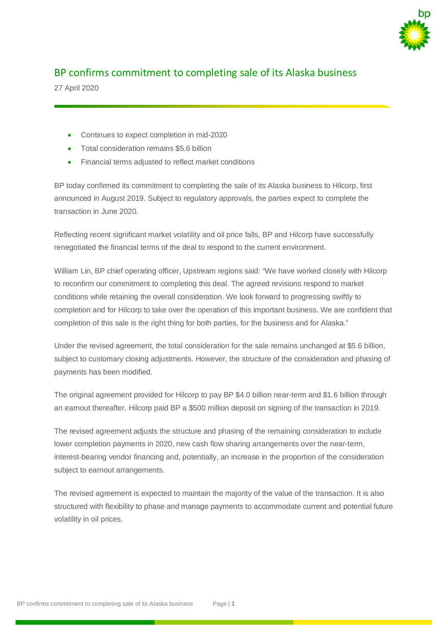

## BP confirms commitment to completing sale of its Alaska business

27 April 2020

- Continues to expect completion in mid-2020
- Total consideration remains \$5.6 billion
- Financial terms adjusted to reflect market conditions

BP today confirmed its commitment to completing the sale of its Alaska business to Hilcorp, first announced in August 2019. Subject to regulatory approvals, the parties expect to complete the transaction in June 2020.

Reflecting recent significant market volatility and oil price falls, BP and Hilcorp have successfully renegotiated the financial terms of the deal to respond to the current environment.

William Lin, BP chief operating officer, Upstream regions said: "We have worked closely with Hilcorp to reconfirm our commitment to completing this deal. The agreed revisions respond to market conditions while retaining the overall consideration. We look forward to progressing swiftly to completion and for Hilcorp to take over the operation of this important business. We are confident that completion of this sale is the right thing for both parties, for the business and for Alaska."

Under the revised agreement, the total consideration for the sale remains unchanged at \$5.6 billion, subject to customary closing adjustments. However, the structure of the consideration and phasing of payments has been modified.

The original agreement provided for Hilcorp to pay BP \$4.0 billion near-term and \$1.6 billion through an earnout thereafter. Hilcorp paid BP a \$500 million deposit on signing of the transaction in 2019.

The revised agreement adjusts the structure and phasing of the remaining consideration to include lower completion payments in 2020, new cash flow sharing arrangements over the near-term, interest-bearing vendor financing and, potentially, an increase in the proportion of the consideration subject to earnout arrangements.

The revised agreement is expected to maintain the majority of the value of the transaction. It is also structured with flexibility to phase and manage payments to accommodate current and potential future volatility in oil prices.